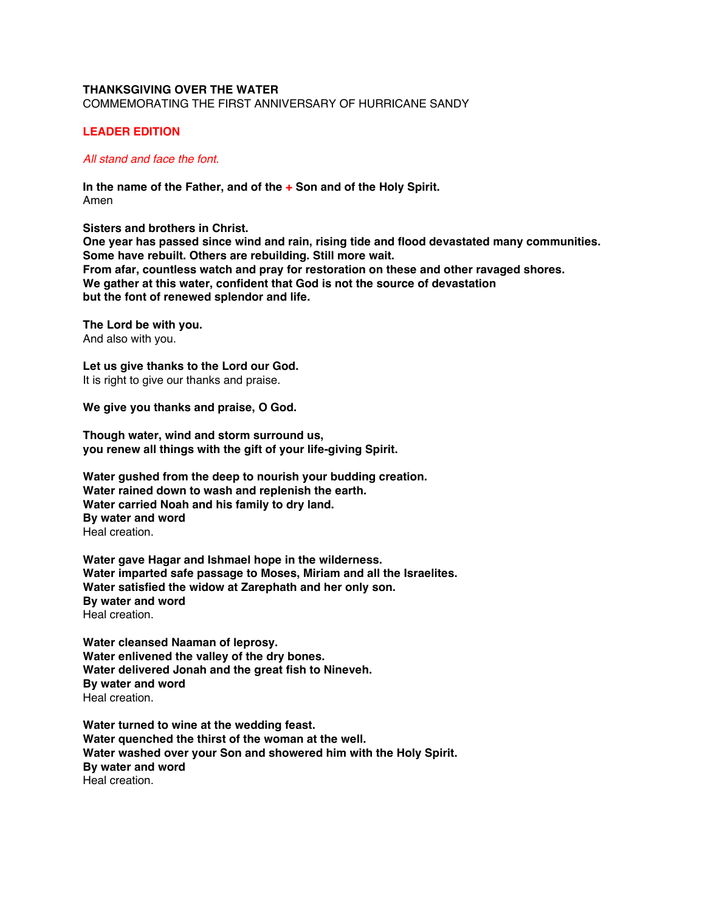## **THANKSGIVING OVER THE WATER**

COMMEMORATING THE FIRST ANNIVERSARY OF HURRICANE SANDY

## **LEADER EDITION**

## *All stand and face the font.*

**In the name of the Father, and of the + Son and of the Holy Spirit.** Amen

**Sisters and brothers in Christ.** 

**One year has passed since wind and rain, rising tide and flood devastated many communities. Some have rebuilt. Others are rebuilding. Still more wait. From afar, countless watch and pray for restoration on these and other ravaged shores. We gather at this water, confident that God is not the source of devastation but the font of renewed splendor and life.**

**The Lord be with you.** And also with you.

**Let us give thanks to the Lord our God.** It is right to give our thanks and praise.

**We give you thanks and praise, O God.**

**Though water, wind and storm surround us, you renew all things with the gift of your life-giving Spirit.**

**Water gushed from the deep to nourish your budding creation. Water rained down to wash and replenish the earth. Water carried Noah and his family to dry land. By water and word** Heal creation.

**Water gave Hagar and Ishmael hope in the wilderness. Water imparted safe passage to Moses, Miriam and all the Israelites. Water satisfied the widow at Zarephath and her only son. By water and word** Heal creation.

**Water cleansed Naaman of leprosy. Water enlivened the valley of the dry bones. Water delivered Jonah and the great fish to Nineveh. By water and word** Heal creation.

**Water turned to wine at the wedding feast. Water quenched the thirst of the woman at the well. Water washed over your Son and showered him with the Holy Spirit. By water and word** Heal creation.